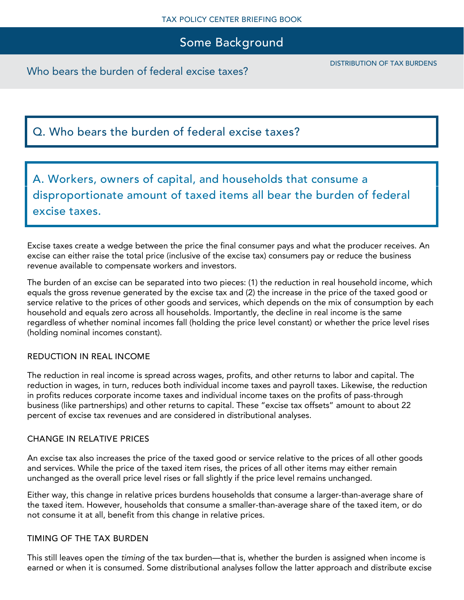Who bears the burden of federal excise taxes?

# Q. Who bears the burden of federal excise taxes?

A. Workers, owners of capital, and households that consume a disproportionate amount of taxed items all bear the burden of federal excise taxes.

Excise taxes create a wedge between the price the final consumer pays and what the producer receives. An excise can either raise the total price (inclusive of the excise tax) consumers pay or reduce the business revenue available to compensate workers and investors.

The burden of an excise can be separated into two pieces: (1) the reduction in real household income, which equals the gross revenue generated by the excise tax and (2) the increase in the price of the taxed good or service relative to the prices of other goods and services, which depends on the mix of consumption by each household and equals zero across all households. Importantly, the decline in real income is the same regardless of whether nominal incomes fall (holding the price level constant) or whether the price level rises (holding nominal incomes constant).

## REDUCTION IN REAL INCOME

The reduction in real income is spread across wages, profits, and other returns to labor and capital. The reduction in wages, in turn, reduces both individual income taxes and payroll taxes. Likewise, the reduction in profits reduces corporate income taxes and individual income taxes on the profits of pass-through business (like partnerships) and other returns to capital. These "excise tax offsets" amount to about 22 percent of excise tax revenues and are considered in distributional analyses.

## CHANGE IN RELATIVE PRICES

An excise tax also increases the price of the taxed good or service relative to the prices of all other goods and services. While the price of the taxed item rises, the prices of all other items may either remain unchanged as the overall price level rises or fall slightly if the price level remains unchanged.

Either way, this change in relative prices burdens households that consume a larger-than-average share of the taxed item. However, households that consume a smaller-than-average share of the taxed item, or do not consume it at all, benefit from this change in relative prices.

## TIMING OF THE TAX BURDEN

This still leaves open the *timing* of the tax burden—that is, whether the burden is assigned when income is earned or when it is consumed. Some distributional analyses follow the latter approach and distribute excise

DISTRIBUTION OF TAX BURDENS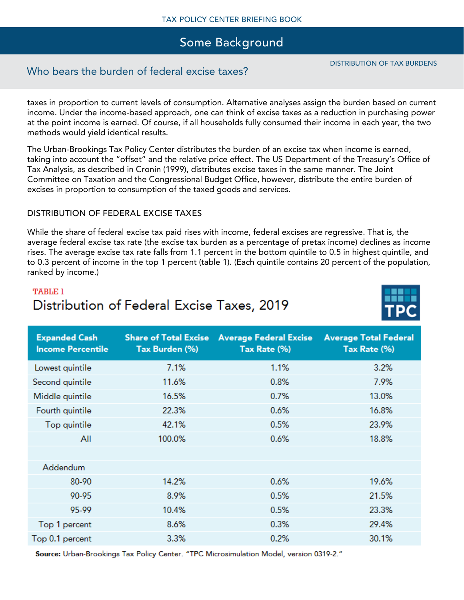## Who bears the burden of federal excise taxes?

taxes in proportion to current levels of consumption. Alternative analyses assign the burden based on current income. Under the income-based approach, one can think of excise taxes as a reduction in purchasing power at the point income is earned. Of course, if all households fully consumed their income in each year, the two methods would yield identical results.

The Urban-Brookings Tax Policy Center distributes the burden of an excise tax when income is earned, taking into account the "offset" and the relative price effect. The US Department of the Treasury's Office of Tax Analysis, as described in Cronin (1999), distributes excise taxes in the same manner. The Joint Committee on Taxation and the Congressional Budget Office, however, distribute the entire burden of excises in proportion to consumption of the taxed goods and services.

## DISTRIBUTION OF FEDERAL EXCISE TAXES

**Expanded Cash** 

While the share of federal excise tax paid rises with income, federal excises are regressive. That is, the average federal excise tax rate (the excise tax burden as a percentage of pretax income) declines as income rises. The average excise tax rate falls from 1.1 percent in the bottom quintile to 0.5 in highest quintile, and to 0.3 percent of income in the top 1 percent (table 1). (Each quintile contains 20 percent of the population, ranked by income.)

Share of Total Excise Average Federal Excise

# **TABLE 1** Distribution of Federal Excise Taxes, 2019

| income rercentile | <b>Tax Durden (70)</b> | Tax Rate $(70)$ | Tax Rate $(70)$ |
|-------------------|------------------------|-----------------|-----------------|
| Lowest quintile   | 7.1%                   | 1.1%            | 3.2%            |
| Second quintile   | 11.6%                  | 0.8%            | 7.9%            |
| Middle quintile   | 16.5%                  | 0.7%            | 13.0%           |
| Fourth quintile   | 22.3%                  | 0.6%<br>16.8%   |                 |
| Top quintile      | 42.1%                  | 0.5%            | 23.9%           |
| All               | 100.0%                 | 0.6%            | 18.8%           |
|                   |                        |                 |                 |
| Addendum          |                        |                 |                 |
| 80-90             | 14.2%                  | 0.6%            | 19.6%           |
| 90-95             | 8.9%                   | 0.5%            | 21.5%           |
| 95-99             | 10.4%                  | 0.5%            | 23.3%           |
| Top 1 percent     | 8.6%                   | 0.3%            | 29.4%           |
| Top 0.1 percent   | 3.3%                   | 0.2%            | 30.1%           |
|                   |                        |                 |                 |

Source: Urban-Brookings Tax Policy Center. "TPC Microsimulation Model, version 0319-2."



**Average Total Federal**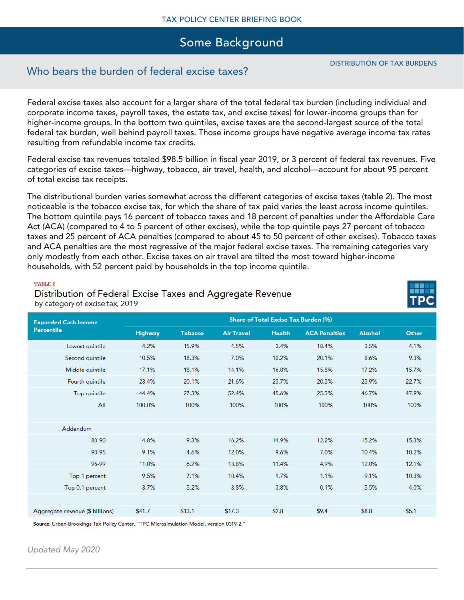## Who bears the burden of federal excise taxes?

Federal excise taxes also account for a larger share of the total federal tax burden (including individual and corporate income taxes, payroll taxes, the estate tax, and excise taxes) for lower-income groups than for higher-income groups. In the bottom two quintiles, excise taxes are the second-largest source of the total federal tax burden, well behind payroll taxes. Those income groups have negative average income tax rates resulting from refundable income tax credits.

Federal excise tax revenues totaled \$98.5 billion in fiscal year 2019, or 3 percent of federal tax revenues. Five categories of excise taxes—highway, tobacco, air travel, health, and alcohol—account for about 95 percent of total excise tax receipts.

The distributional burden varies somewhat across the different categories of excise taxes (table 2). The most noticeable is the tobacco excise tax, for which the share of tax paid varies the least across income quintiles. The bottom quintile pays 16 percent of tobacco taxes and 18 percent of penalties under the Affordable Care Act (ACA) (compared to 4 to 5 percent of other excises), while the top quintile pays 27 percent of tobacco taxes and 25 percent of ACA penalties (compared to about 45 to 50 percent of other excises). Tobacco taxes and ACA penalties are the most regressive of the major federal excise taxes. The remaining categories vary only modestly from each other. Excise taxes on air travel are tilted the most toward higher-income households, with 52 percent paid by households in the top income quintile.

#### TABLE<sub>2</sub>

Distribution of Federal Excise Taxes and Aggregate Revenue by category of excise tax, 2019

| <b>Expanded Cash Income</b><br><b>Percentile</b> | Share of Total Excise Tax Burden (%) |                |                   |               |                      |                |       |
|--------------------------------------------------|--------------------------------------|----------------|-------------------|---------------|----------------------|----------------|-------|
|                                                  | <b>Highway</b>                       | <b>Tobacco</b> | <b>Air Travel</b> | <b>Health</b> | <b>ACA Penalties</b> | <b>Alcohol</b> | Other |
| Lowest quintile                                  | 4.2%                                 | 15.9%          | 4.5%              | 3.4%          | 18.4%                | 3.5%           | 4.1%  |
| Second quintile                                  | 10.5%                                | 18.3%          | 7.0%              | 10.2%         | 20.1%                | 8.6%           | 9.3%  |
| Middle quintile                                  | 17.1%                                | 18.1%          | 14.1%             | 16.8%         | 15.8%                | 17.2%          | 15.7% |
| Fourth quintile                                  | 23.4%                                | 20.1%          | 21.6%             | 23.7%         | 20.3%                | 23.9%          | 22.7% |
| Top quintile                                     | 44.4%                                | 27.3%          | 52.4%             | 45.6%         | 25.3%                | 46.7%          | 47.9% |
| All                                              | 100.0%                               | 100%           | 100%              | 100%          | 100%                 | 100%           | 100%  |
|                                                  |                                      |                |                   |               |                      |                |       |
| Addendum                                         |                                      |                |                   |               |                      |                |       |
| 80-90                                            | 14.8%                                | 9.3%           | 16.2%             | 14.9%         | 12.2%                | 15.2%          | 15.3% |
| 90-95                                            | 9.1%                                 | 4.6%           | 12.0%             | 9.6%          | 7.0%                 | 10.4%          | 10.2% |
| 95-99                                            | 11.0%                                | 6.2%           | 13.8%             | 11.4%         | 4.9%                 | 12.0%          | 12.1% |
| Top 1 percent                                    | 9.5%                                 | 7.1%           | 10.4%             | 9.7%          | 1.1%                 | 9.1%           | 10.3% |
| Top 0.1 percent                                  | 3.7%                                 | 3.2%           | 3.8%              | 3.8%          | 0.1%                 | 3.5%           | 4.0%  |
|                                                  |                                      |                |                   |               |                      |                |       |
| Aggregate revenue (\$ billions)                  | \$41.7                               | \$13.1         | \$17.3            | \$2.8         | \$9.4                | \$8.8          | \$5.1 |

Source: Urban-Brookings Tax Policy Center. "TPC Microsimulation Model, version 0319-2."

*Updated May 2020*